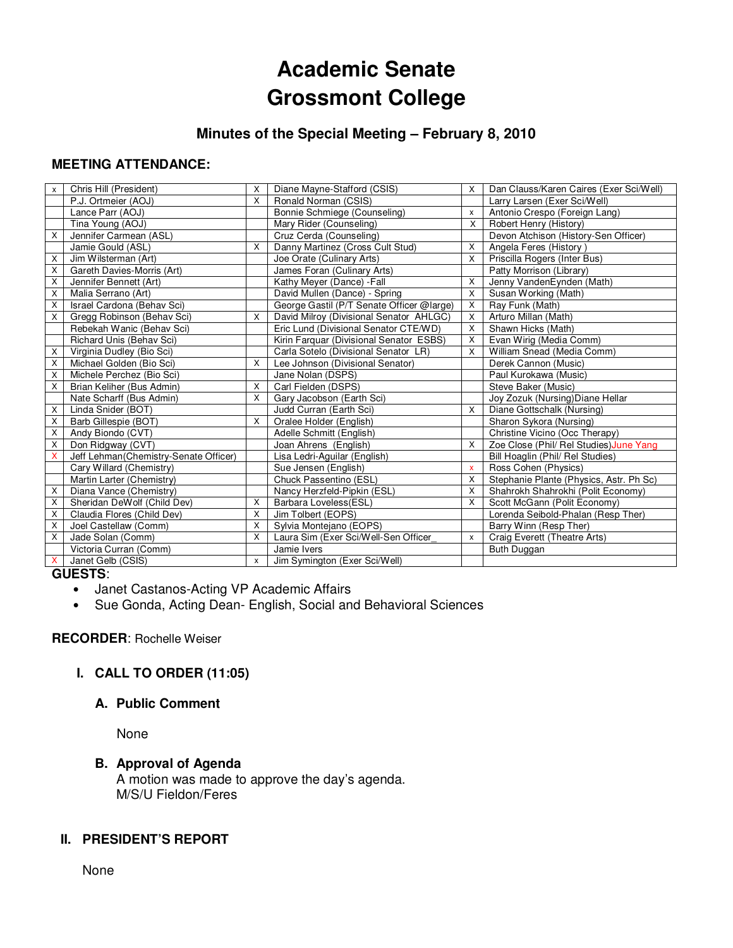# **Academic Senate Grossmont College**

# **Minutes of the Special Meeting – February 8, 2010**

# **MEETING ATTENDANCE:**

| X              | Chris Hill (President)                | X                         | Diane Mayne-Stafford (CSIS)               | X                         | Dan Clauss/Karen Caires (Exer Sci/Well) |
|----------------|---------------------------------------|---------------------------|-------------------------------------------|---------------------------|-----------------------------------------|
|                | P.J. Ortmeier (AOJ)                   | $\boldsymbol{\mathsf{X}}$ | Ronald Norman (CSIS)                      |                           | Larry Larsen (Exer Sci/Well)            |
|                | Lance Parr (AOJ)                      |                           | Bonnie Schmiege (Counseling)              | x                         | Antonio Crespo (Foreign Lang)           |
|                | Tina Young (AOJ)                      |                           | Mary Rider (Counseling)                   | X                         | Robert Henry (History)                  |
| X              | Jennifer Carmean (ASL)                |                           | Cruz Cerda (Counseling)                   |                           | Devon Atchison (History-Sen Officer)    |
|                | Jamie Gould (ASL)                     | $\times$                  | Danny Martinez (Cross Cult Stud)          | X                         | Angela Feres (History)                  |
| X              | Jim Wilsterman (Art)                  |                           | Joe Orate (Culinary Arts)                 | X                         | Priscilla Rogers (Inter Bus)            |
| X              | Gareth Davies-Morris (Art)            |                           | James Foran (Culinary Arts)               |                           | Patty Morrison (Library)                |
| X              | Jennifer Bennett (Art)                |                           | Kathy Meyer (Dance) - Fall                | X                         | Jenny VandenEynden (Math)               |
| X              | Malia Serrano (Art)                   |                           | David Mullen (Dance) - Spring             | X                         | Susan Working (Math)                    |
| X              | Israel Cardona (Behav Sci)            |                           | George Gastil (P/T Senate Officer @large) | X                         | Ray Funk (Math)                         |
| X              | Gregg Robinson (Behav Sci)            | X                         | David Milroy (Divisional Senator AHLGC)   | X                         | Arturo Millan (Math)                    |
|                | Rebekah Wanic (Behav Sci)             |                           | Eric Lund (Divisional Senator CTE/WD)     | X                         | Shawn Hicks (Math)                      |
|                | Richard Unis (Behav Sci)              |                           | Kirin Farquar (Divisional Senator ESBS)   | X                         | Evan Wirig (Media Comm)                 |
| X              | Virginia Dudley (Bio Sci)             |                           | Carla Sotelo (Divisional Senator LR)      | X                         | William Snead (Media Comm)              |
| X              | Michael Golden (Bio Sci)              | X                         | Lee Johnson (Divisional Senator)          |                           | Derek Cannon (Music)                    |
| $\overline{X}$ | Michele Perchez (Bio Sci)             |                           | Jane Nolan (DSPS)                         |                           | Paul Kurokawa (Music)                   |
| X              | Brian Keliher (Bus Admin)             | X                         | Carl Fielden (DSPS)                       |                           | Steve Baker (Music)                     |
|                | Nate Scharff (Bus Admin)              | X                         | Gary Jacobson (Earth Sci)                 |                           | Joy Zozuk (Nursing) Diane Hellar        |
| X              | Linda Snider (BOT)                    |                           | Judd Curran (Earth Sci)                   | X                         | Diane Gottschalk (Nursing)              |
| Χ              | Barb Gillespie (BOT)                  | X                         | Oralee Holder (English)                   |                           | Sharon Sykora (Nursing)                 |
| X              | Andy Biondo (CVT)                     |                           | Adelle Schmitt (English)                  |                           | Christine Vicino (Occ Therapy)          |
| Χ              | Don Ridgway (CVT)                     |                           | Joan Ahrens (English)                     | X                         | Zoe Close (Phil/ Rel Studies) June Yang |
| X              | Jeff Lehman(Chemistry-Senate Officer) |                           | Lisa Ledri-Aguilar (English)              |                           | Bill Hoaglin (Phil/ Rel Studies)        |
|                | Cary Willard (Chemistry)              |                           | Sue Jensen (English)                      | $\overline{\mathbf{x}}$   | Ross Cohen (Physics)                    |
|                | Martin Larter (Chemistry)             |                           | Chuck Passentino (ESL)                    | X                         | Stephanie Plante (Physics, Astr. Ph Sc) |
| X              | Diana Vance (Chemistry)               |                           | Nancy Herzfeld-Pipkin (ESL)               | $\times$                  | Shahrokh Shahrokhi (Polit Economy)      |
| Χ              | Sheridan DeWolf (Child Dev)           | X                         | Barbara Loveless(ESL)                     | X                         | Scott McGann (Polit Economy)            |
| X              | Claudia Flores (Child Dev)            | $\times$                  | Jim Tolbert (EOPS)                        |                           | Lorenda Seibold-Phalan (Resp Ther)      |
| X              | Joel Castellaw (Comm)                 | X                         | Sylvia Montejano (EOPS)                   |                           | Barry Winn (Resp Ther)                  |
| X              | Jade Solan (Comm)                     | $\times$                  | Laura Sim (Exer Sci/Well-Sen Officer      | $\boldsymbol{\mathsf{x}}$ | Craig Everett (Theatre Arts)            |
|                | Victoria Curran (Comm)                |                           | Jamie Ivers                               |                           | Buth Duggan                             |
| x              | Janet Gelb (CSIS)                     | X                         | Jim Symington (Exer Sci/Well)             |                           |                                         |

**GUESTS**:

- Janet Castanos-Acting VP Academic Affairs
- Sue Gonda, Acting Dean- English, Social and Behavioral Sciences

#### **RECORDER**: Rochelle Weiser

# **I. CALL TO ORDER (11:05)**

## **A. Public Comment**

None

# **B. Approval of Agenda**

A motion was made to approve the day's agenda. M/S/U Fieldon/Feres

# **II. PRESIDENT'S REPORT**

None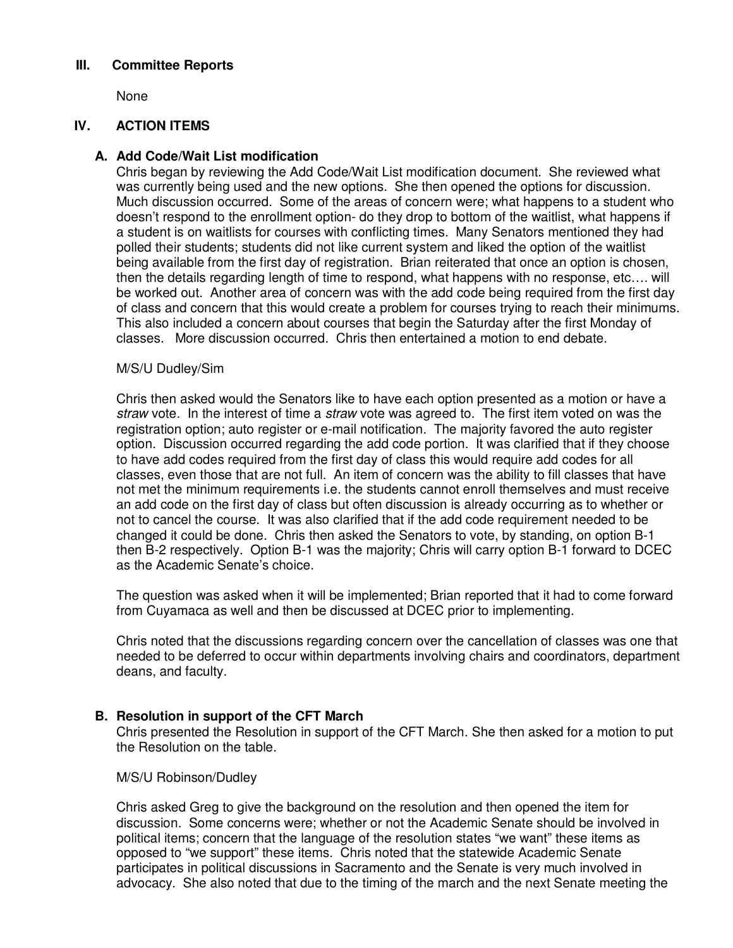## **III. Committee Reports**

None

# **IV. ACTION ITEMS**

## **A. Add Code/Wait List modification**

Chris began by reviewing the Add Code/Wait List modification document. She reviewed what was currently being used and the new options. She then opened the options for discussion. Much discussion occurred. Some of the areas of concern were; what happens to a student who doesn't respond to the enrollment option- do they drop to bottom of the waitlist, what happens if a student is on waitlists for courses with conflicting times. Many Senators mentioned they had polled their students; students did not like current system and liked the option of the waitlist being available from the first day of registration. Brian reiterated that once an option is chosen, then the details regarding length of time to respond, what happens with no response, etc…. will be worked out. Another area of concern was with the add code being required from the first day of class and concern that this would create a problem for courses trying to reach their minimums. This also included a concern about courses that begin the Saturday after the first Monday of classes. More discussion occurred. Chris then entertained a motion to end debate.

## M/S/U Dudley/Sim

Chris then asked would the Senators like to have each option presented as a motion or have a straw vote. In the interest of time a straw vote was agreed to. The first item voted on was the registration option; auto register or e-mail notification. The majority favored the auto register option. Discussion occurred regarding the add code portion. It was clarified that if they choose to have add codes required from the first day of class this would require add codes for all classes, even those that are not full. An item of concern was the ability to fill classes that have not met the minimum requirements i.e. the students cannot enroll themselves and must receive an add code on the first day of class but often discussion is already occurring as to whether or not to cancel the course. It was also clarified that if the add code requirement needed to be changed it could be done. Chris then asked the Senators to vote, by standing, on option B-1 then B-2 respectively. Option B-1 was the majority; Chris will carry option B-1 forward to DCEC as the Academic Senate's choice.

The question was asked when it will be implemented; Brian reported that it had to come forward from Cuyamaca as well and then be discussed at DCEC prior to implementing.

Chris noted that the discussions regarding concern over the cancellation of classes was one that needed to be deferred to occur within departments involving chairs and coordinators, department deans, and faculty.

#### **B. Resolution in support of the CFT March**

Chris presented the Resolution in support of the CFT March. She then asked for a motion to put the Resolution on the table.

#### M/S/U Robinson/Dudley

Chris asked Greg to give the background on the resolution and then opened the item for discussion. Some concerns were; whether or not the Academic Senate should be involved in political items; concern that the language of the resolution states "we want" these items as opposed to "we support" these items. Chris noted that the statewide Academic Senate participates in political discussions in Sacramento and the Senate is very much involved in advocacy. She also noted that due to the timing of the march and the next Senate meeting the